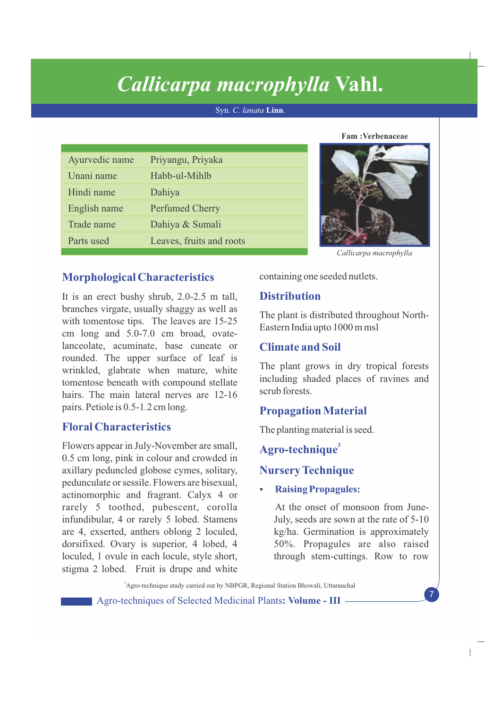# *Callicarpa macrophylla* **Vahl.**

Syn. *C. lanata* **Linn**.

| Ayurvedic name | Priyangu, Priyaka        |
|----------------|--------------------------|
| Unani name     | Habb-ul-Mihlb            |
| Hindi name     | Dahiya                   |
| English name   | <b>Perfumed Cherry</b>   |
| Trade name     | Dahiya & Sumali          |
| Parts used     | Leaves, fruits and roots |

**Fam :Verbenaceae**



*Callicarpa macrophylla*

# **Morphological Characteristics**

It is an erect bushy shrub, 2.0-2.5 m tall, branches virgate, usually shaggy as well as with tomentose tips. The leaves are 15-25 cm long and 5.0-7.0 cm broad, ovatelanceolate, acuminate, base cuneate or rounded. The upper surface of leaf is wrinkled, glabrate when mature, white tomentose beneath with compound stellate hairs. The main lateral nerves are 12-16 pairs. Petiole is 0.5-1.2 cm long.

# **Floral Characteristics**

Flowers appear in July-November are small, 0.5 cm long, pink in colour and crowded in axillary peduncled globose cymes, solitary, pedunculate or sessile. Flowers are bisexual, actinomorphic and fragrant. Calyx 4 or rarely 5 toothed, pubescent, corolla infundibular, 4 or rarely 5 lobed. Stamens are 4, exserted, anthers oblong 2 loculed, dorsifixed. Ovary is superior, 4 lobed, 4 loculed, 1 ovule in each locule, style short, stigma 2 lobed. Fruit is drupe and white

containing one seeded nutlets.

# **Distribution**

The plant is distributed throughout North-Eastern India upto 1000 m msl

# **Climate and Soil**

The plant grows in dry tropical forests including shaded places of ravines and scrub forests.

# **Propagation Material**

The planting material is seed.

**<sup>3</sup> Agro-technique**

# **Nursery Technique**

# **Raising Propagules:**

At the onset of monsoon from June-July, seeds are sown at the rate of 5-10 kg/ha. Germination is approximately 50%. Propagules are also raised through stem-cuttings. Row to row

<sup>3</sup>Agro-technique study carried out by NBPGR, Regional Station Bhowali, Uttaranchal

Agro-techniques of Selected Medicinal Plants**: Volume - III**

7

 $\overline{\phantom{a}}$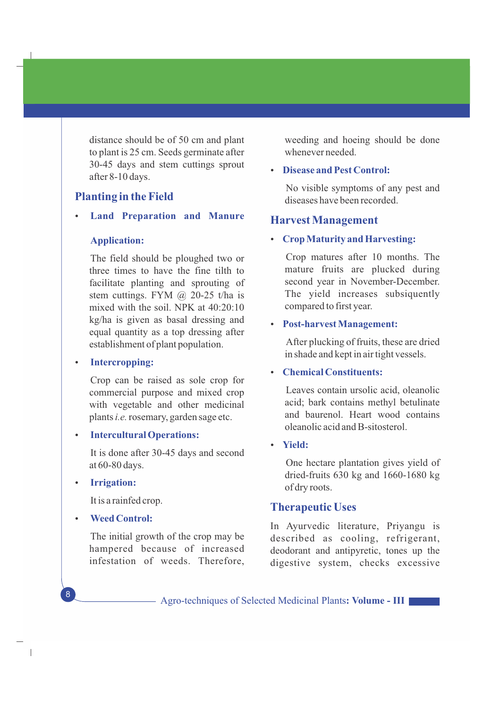distance should be of 50 cm and plant to plant is 25 cm. Seeds germinate after 30-45 days and stem cuttings sprout after 8-10 days.

## **Planting in the Field**

Ÿ **Land Preparation and Manure**

#### **Application:**

The field should be ploughed two or three times to have the fine tilth to facilitate planting and sprouting of stem cuttings. FYM @ 20-25 t/ha is mixed with the soil. NPK at 40:20:10 kg/ha is given as basal dressing and equal quantity as a top dressing after establishment of plant population.

## • Intercropping:

 Crop can be raised as sole crop for commercial purpose and mixed crop with vegetable and other medicinal plants *i.e.* rosemary, garden sage etc.

**•** Intercultural Operations:

It is done after 30-45 days and second at 60-80 days.

• **Irrigation:** 

8

 $\overline{\phantom{a}}$ 

It is a rainfed crop.

**Weed Control:** 

The initial growth of the crop may be hampered because of increased infestation of weeds. Therefore, weeding and hoeing should be done whenever needed.

## **Disease and Pest Control:**

No visible symptoms of any pest and diseases have been recorded.

## **Harvest Management**

## Ÿ **Crop Maturity and Harvesting:**

Crop matures after 10 months. The mature fruits are plucked during second year in November-December. The yield increases subsiquently compared to first year.

#### • Post-harvest Management:

After plucking of fruits, these are dried in shade and kept in air tight vessels.

## • **Chemical Constituents:**

Leaves contain ursolic acid, oleanolic acid; bark contains methyl betulinate and baurenol. Heart wood contains oleanolic acid and B-sitosterol.

## Ÿ **Yield:**

One hectare plantation gives yield of dried-fruits 630 kg and 1660-1680 kg of dry roots.

## **Therapeutic Uses**

In Ayurvedic literature, Priyangu is described as cooling, refrigerant, deodorant and antipyretic, tones up the digestive system, checks excessive

Agro-techniques of Selected Medicinal Plants**: Volume - III**